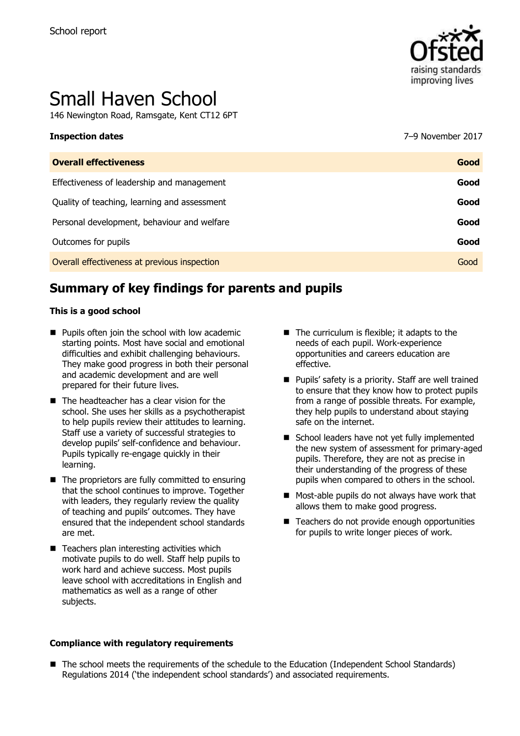

# Small Haven School

146 Newington Road, Ramsgate, Kent CT12 6PT

| Inspection dates                             | 7–9 November 2017 |
|----------------------------------------------|-------------------|
| <b>Overall effectiveness</b>                 | Good              |
| Effectiveness of leadership and management   | Good              |
| Quality of teaching, learning and assessment | Good              |
| Personal development, behaviour and welfare  | Good              |
| Outcomes for pupils                          | Good              |
| Overall effectiveness at previous inspection | Good              |

# **Summary of key findings for parents and pupils**

#### **This is a good school**

- $\blacksquare$  Pupils often join the school with low academic starting points. Most have social and emotional difficulties and exhibit challenging behaviours. They make good progress in both their personal and academic development and are well prepared for their future lives.
- $\blacksquare$  The headteacher has a clear vision for the school. She uses her skills as a psychotherapist to help pupils review their attitudes to learning. Staff use a variety of successful strategies to develop pupils' self-confidence and behaviour. Pupils typically re-engage quickly in their learning.
- $\blacksquare$  The proprietors are fully committed to ensuring that the school continues to improve. Together with leaders, they regularly review the quality of teaching and pupils' outcomes. They have ensured that the independent school standards are met.
- $\blacksquare$  Teachers plan interesting activities which motivate pupils to do well. Staff help pupils to work hard and achieve success. Most pupils leave school with accreditations in English and mathematics as well as a range of other subjects.

#### **Compliance with regulatory requirements**

- $\blacksquare$  The curriculum is flexible; it adapts to the needs of each pupil. Work-experience opportunities and careers education are effective.
- **Pupils' safety is a priority. Staff are well trained** to ensure that they know how to protect pupils from a range of possible threats. For example, they help pupils to understand about staying safe on the internet.
- School leaders have not yet fully implemented the new system of assessment for primary-aged pupils. Therefore, they are not as precise in their understanding of the progress of these pupils when compared to others in the school.
- **Most-able pupils do not always have work that** allows them to make good progress.
- Teachers do not provide enough opportunities for pupils to write longer pieces of work.

■ The school meets the requirements of the schedule to the Education (Independent School Standards) Regulations 2014 ('the independent school standards') and associated requirements.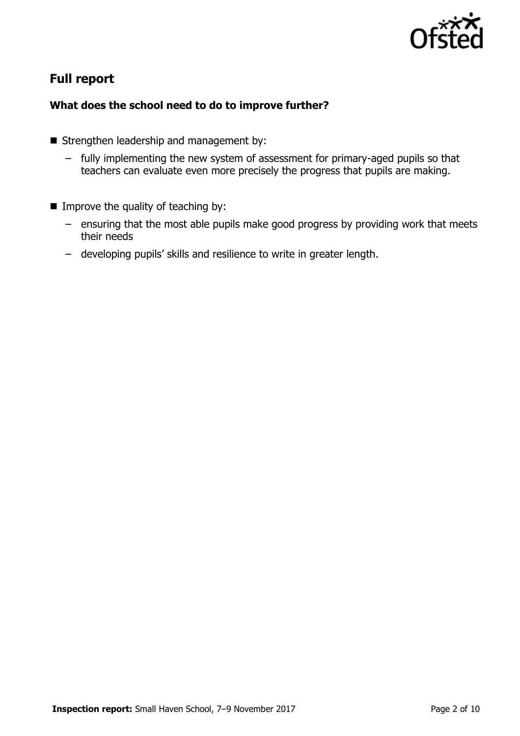

# **Full report**

### **What does the school need to do to improve further?**

- Strengthen leadership and management by:
	- fully implementing the new system of assessment for primary-aged pupils so that teachers can evaluate even more precisely the progress that pupils are making.
- $\blacksquare$  Improve the quality of teaching by:
	- ensuring that the most able pupils make good progress by providing work that meets their needs
	- developing pupils' skills and resilience to write in greater length.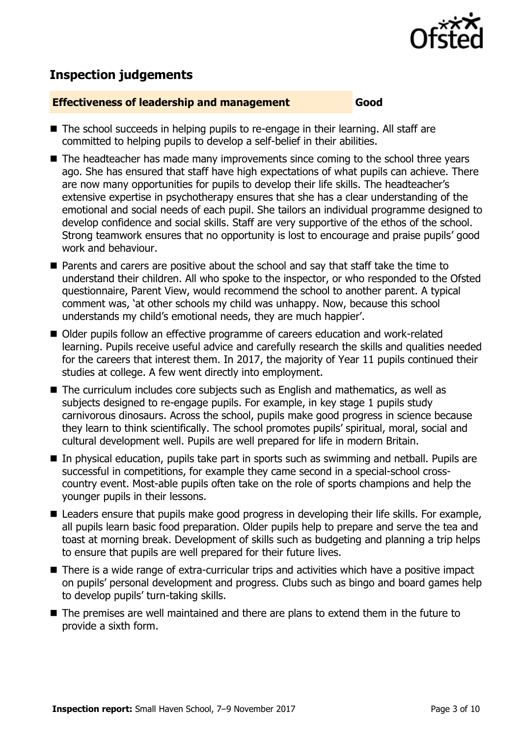

# **Inspection judgements**

#### **Effectiveness of leadership and management Good**

- The school succeeds in helping pupils to re-engage in their learning. All staff are committed to helping pupils to develop a self-belief in their abilities.
- The headteacher has made many improvements since coming to the school three years ago. She has ensured that staff have high expectations of what pupils can achieve. There are now many opportunities for pupils to develop their life skills. The headteacher's extensive expertise in psychotherapy ensures that she has a clear understanding of the emotional and social needs of each pupil. She tailors an individual programme designed to develop confidence and social skills. Staff are very supportive of the ethos of the school. Strong teamwork ensures that no opportunity is lost to encourage and praise pupils' good work and behaviour.
- Parents and carers are positive about the school and say that staff take the time to understand their children. All who spoke to the inspector, or who responded to the Ofsted questionnaire, Parent View, would recommend the school to another parent. A typical comment was, 'at other schools my child was unhappy. Now, because this school understands my child's emotional needs, they are much happier'.
- Older pupils follow an effective programme of careers education and work-related learning. Pupils receive useful advice and carefully research the skills and qualities needed for the careers that interest them. In 2017, the majority of Year 11 pupils continued their studies at college. A few went directly into employment.
- The curriculum includes core subjects such as English and mathematics, as well as subjects designed to re-engage pupils. For example, in key stage 1 pupils study carnivorous dinosaurs. Across the school, pupils make good progress in science because they learn to think scientifically. The school promotes pupils' spiritual, moral, social and cultural development well. Pupils are well prepared for life in modern Britain.
- In physical education, pupils take part in sports such as swimming and netball. Pupils are successful in competitions, for example they came second in a special-school crosscountry event. Most-able pupils often take on the role of sports champions and help the younger pupils in their lessons.
- Leaders ensure that pupils make good progress in developing their life skills. For example, all pupils learn basic food preparation. Older pupils help to prepare and serve the tea and toast at morning break. Development of skills such as budgeting and planning a trip helps to ensure that pupils are well prepared for their future lives.
- There is a wide range of extra-curricular trips and activities which have a positive impact on pupils' personal development and progress. Clubs such as bingo and board games help to develop pupils' turn-taking skills.
- The premises are well maintained and there are plans to extend them in the future to provide a sixth form.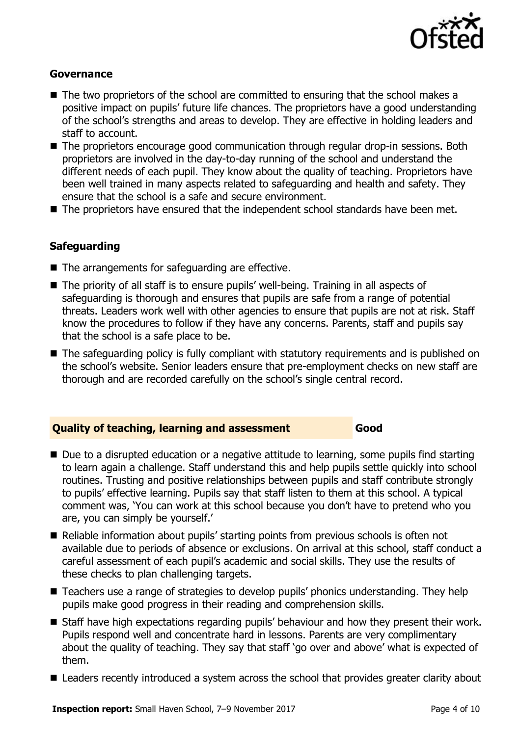

#### **Governance**

- $\blacksquare$  The two proprietors of the school are committed to ensuring that the school makes a positive impact on pupils' future life chances. The proprietors have a good understanding of the school's strengths and areas to develop. They are effective in holding leaders and staff to account.
- The proprietors encourage good communication through regular drop-in sessions. Both proprietors are involved in the day-to-day running of the school and understand the different needs of each pupil. They know about the quality of teaching. Proprietors have been well trained in many aspects related to safeguarding and health and safety. They ensure that the school is a safe and secure environment.
- The proprietors have ensured that the independent school standards have been met.

#### **Safeguarding**

- The arrangements for safeguarding are effective.
- The priority of all staff is to ensure pupils' well-being. Training in all aspects of safeguarding is thorough and ensures that pupils are safe from a range of potential threats. Leaders work well with other agencies to ensure that pupils are not at risk. Staff know the procedures to follow if they have any concerns. Parents, staff and pupils say that the school is a safe place to be.
- The safeguarding policy is fully compliant with statutory requirements and is published on the school's website. Senior leaders ensure that pre-employment checks on new staff are thorough and are recorded carefully on the school's single central record.

#### **Quality of teaching, learning and assessment Good**

- Due to a disrupted education or a negative attitude to learning, some pupils find starting to learn again a challenge. Staff understand this and help pupils settle quickly into school routines. Trusting and positive relationships between pupils and staff contribute strongly to pupils' effective learning. Pupils say that staff listen to them at this school. A typical comment was, 'You can work at this school because you don't have to pretend who you are, you can simply be yourself.'
- Reliable information about pupils' starting points from previous schools is often not available due to periods of absence or exclusions. On arrival at this school, staff conduct a careful assessment of each pupil's academic and social skills. They use the results of these checks to plan challenging targets.
- Teachers use a range of strategies to develop pupils' phonics understanding. They help pupils make good progress in their reading and comprehension skills.
- Staff have high expectations regarding pupils' behaviour and how they present their work. Pupils respond well and concentrate hard in lessons. Parents are very complimentary about the quality of teaching. They say that staff 'go over and above' what is expected of them.
- Leaders recently introduced a system across the school that provides greater clarity about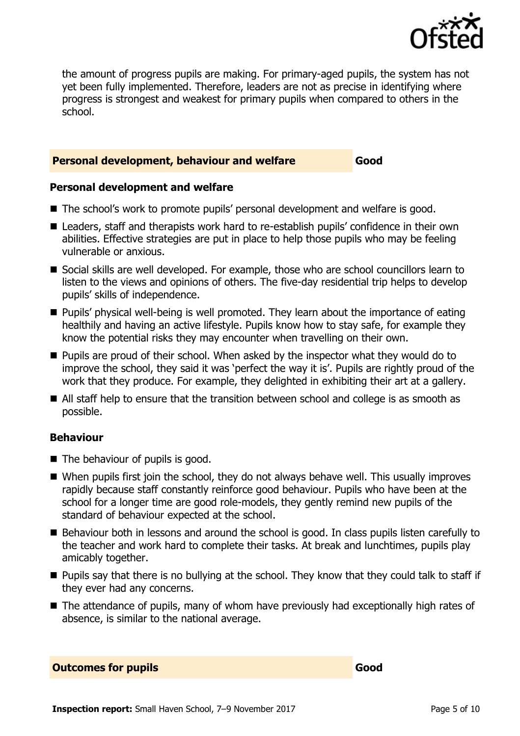

the amount of progress pupils are making. For primary-aged pupils, the system has not yet been fully implemented. Therefore, leaders are not as precise in identifying where progress is strongest and weakest for primary pupils when compared to others in the school.

#### **Personal development, behaviour and welfare Good**

#### **Personal development and welfare**

- The school's work to promote pupils' personal development and welfare is good.
- Leaders, staff and therapists work hard to re-establish pupils' confidence in their own abilities. Effective strategies are put in place to help those pupils who may be feeling vulnerable or anxious.
- Social skills are well developed. For example, those who are school councillors learn to listen to the views and opinions of others. The five-day residential trip helps to develop pupils' skills of independence.
- **Pupils'** physical well-being is well promoted. They learn about the importance of eating healthily and having an active lifestyle. Pupils know how to stay safe, for example they know the potential risks they may encounter when travelling on their own.
- **Pupils are proud of their school. When asked by the inspector what they would do to** improve the school, they said it was 'perfect the way it is'. Pupils are rightly proud of the work that they produce. For example, they delighted in exhibiting their art at a gallery.
- All staff help to ensure that the transition between school and college is as smooth as possible.

#### **Behaviour**

- The behaviour of pupils is good.
- When pupils first join the school, they do not always behave well. This usually improves rapidly because staff constantly reinforce good behaviour. Pupils who have been at the school for a longer time are good role-models, they gently remind new pupils of the standard of behaviour expected at the school.
- Behaviour both in lessons and around the school is good. In class pupils listen carefully to the teacher and work hard to complete their tasks. At break and lunchtimes, pupils play amicably together.
- $\blacksquare$  Pupils say that there is no bullying at the school. They know that they could talk to staff if they ever had any concerns.
- The attendance of pupils, many of whom have previously had exceptionally high rates of absence, is similar to the national average.

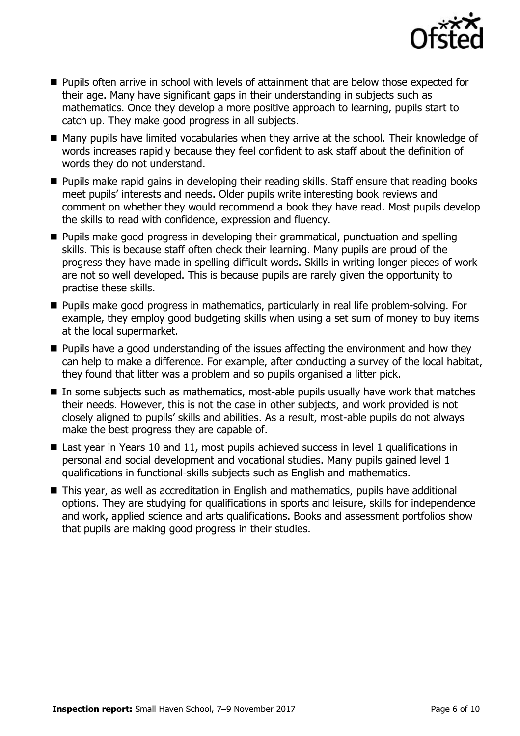

- **Pupils often arrive in school with levels of attainment that are below those expected for** their age. Many have significant gaps in their understanding in subjects such as mathematics. Once they develop a more positive approach to learning, pupils start to catch up. They make good progress in all subjects.
- Many pupils have limited vocabularies when they arrive at the school. Their knowledge of words increases rapidly because they feel confident to ask staff about the definition of words they do not understand.
- **Pupils make rapid gains in developing their reading skills. Staff ensure that reading books** meet pupils' interests and needs. Older pupils write interesting book reviews and comment on whether they would recommend a book they have read. Most pupils develop the skills to read with confidence, expression and fluency.
- **Pupils make good progress in developing their grammatical, punctuation and spelling** skills. This is because staff often check their learning. Many pupils are proud of the progress they have made in spelling difficult words. Skills in writing longer pieces of work are not so well developed. This is because pupils are rarely given the opportunity to practise these skills.
- **Pupils make good progress in mathematics, particularly in real life problem-solving. For** example, they employ good budgeting skills when using a set sum of money to buy items at the local supermarket.
- **Pupils have a good understanding of the issues affecting the environment and how they** can help to make a difference. For example, after conducting a survey of the local habitat, they found that litter was a problem and so pupils organised a litter pick.
- $\blacksquare$  In some subjects such as mathematics, most-able pupils usually have work that matches their needs. However, this is not the case in other subjects, and work provided is not closely aligned to pupils' skills and abilities. As a result, most-able pupils do not always make the best progress they are capable of.
- Last year in Years 10 and 11, most pupils achieved success in level 1 qualifications in personal and social development and vocational studies. Many pupils gained level 1 qualifications in functional-skills subjects such as English and mathematics.
- This year, as well as accreditation in English and mathematics, pupils have additional options. They are studying for qualifications in sports and leisure, skills for independence and work, applied science and arts qualifications. Books and assessment portfolios show that pupils are making good progress in their studies.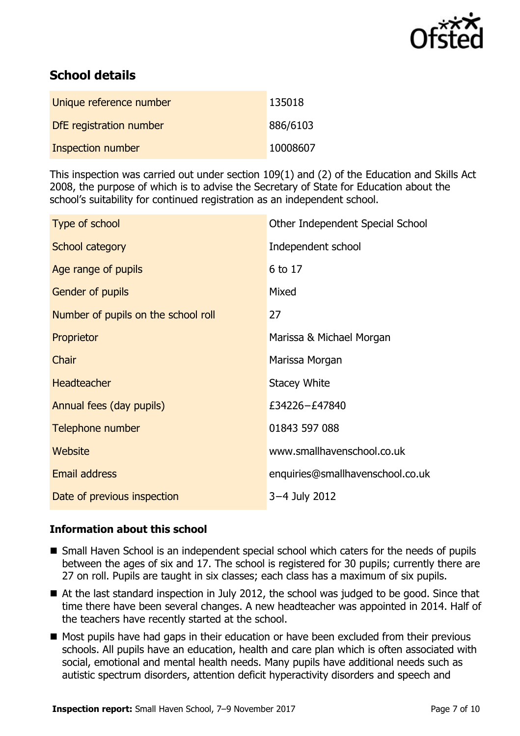

# **School details**

| Unique reference number  | 135018   |
|--------------------------|----------|
| DfE registration number  | 886/6103 |
| <b>Inspection number</b> | 10008607 |

This inspection was carried out under section 109(1) and (2) of the Education and Skills Act 2008, the purpose of which is to advise the Secretary of State for Education about the school's suitability for continued registration as an independent school.

| Type of school                      | Other Independent Special School |
|-------------------------------------|----------------------------------|
| School category                     | Independent school               |
| Age range of pupils                 | 6 to 17                          |
| Gender of pupils                    | Mixed                            |
| Number of pupils on the school roll | 27                               |
| Proprietor                          | Marissa & Michael Morgan         |
| Chair                               | Marissa Morgan                   |
| <b>Headteacher</b>                  | Stacey White                     |
| Annual fees (day pupils)            | £34226-£47840                    |
| Telephone number                    | 01843 597 088                    |
| Website                             | www.smallhavenschool.co.uk       |
| <b>Email address</b>                | enquiries@smallhavenschool.co.uk |
| Date of previous inspection         | 3-4 July 2012                    |

#### **Information about this school**

- Small Haven School is an independent special school which caters for the needs of pupils between the ages of six and 17. The school is registered for 30 pupils; currently there are 27 on roll. Pupils are taught in six classes; each class has a maximum of six pupils.
- At the last standard inspection in July 2012, the school was judged to be good. Since that time there have been several changes. A new headteacher was appointed in 2014. Half of the teachers have recently started at the school.
- Most pupils have had gaps in their education or have been excluded from their previous schools. All pupils have an education, health and care plan which is often associated with social, emotional and mental health needs. Many pupils have additional needs such as autistic spectrum disorders, attention deficit hyperactivity disorders and speech and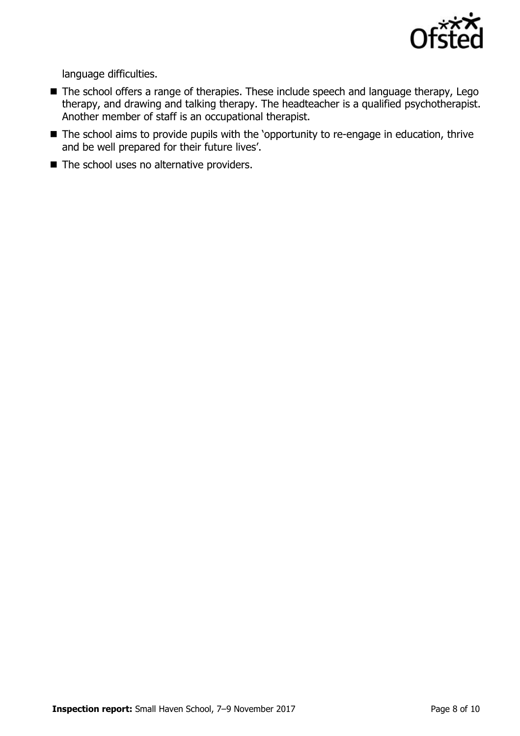

language difficulties.

- The school offers a range of therapies. These include speech and language therapy, Lego therapy, and drawing and talking therapy. The headteacher is a qualified psychotherapist. Another member of staff is an occupational therapist.
- The school aims to provide pupils with the 'opportunity to re-engage in education, thrive and be well prepared for their future lives'.
- The school uses no alternative providers.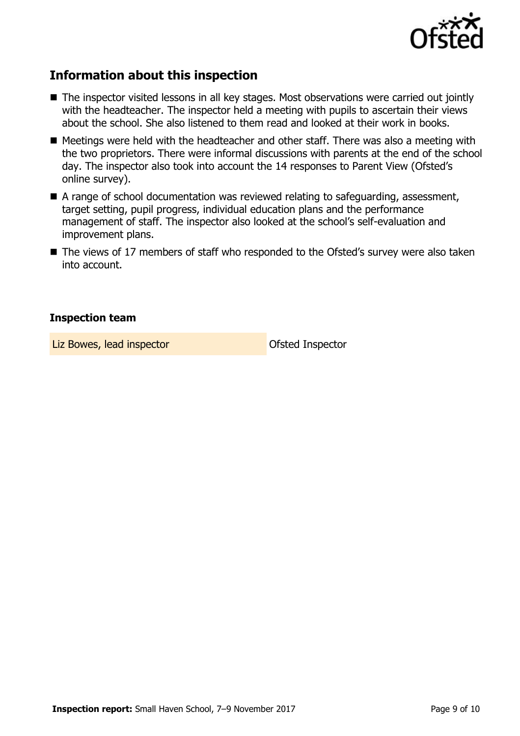

# **Information about this inspection**

- The inspector visited lessons in all key stages. Most observations were carried out jointly with the headteacher. The inspector held a meeting with pupils to ascertain their views about the school. She also listened to them read and looked at their work in books.
- Meetings were held with the headteacher and other staff. There was also a meeting with the two proprietors. There were informal discussions with parents at the end of the school day. The inspector also took into account the 14 responses to Parent View (Ofsted's online survey).
- A range of school documentation was reviewed relating to safeguarding, assessment, target setting, pupil progress, individual education plans and the performance management of staff. The inspector also looked at the school's self-evaluation and improvement plans.
- The views of 17 members of staff who responded to the Ofsted's survey were also taken into account.

#### **Inspection team**

Liz Bowes, lead inspector and offsted Inspector